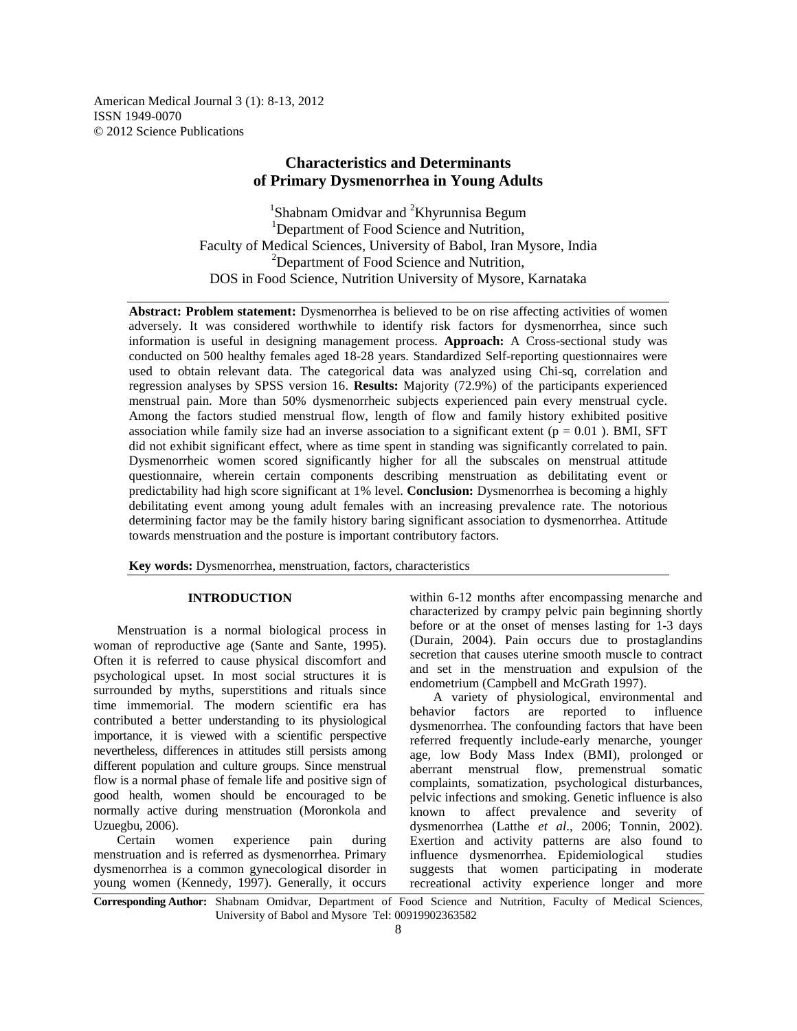American Medical Journal 3 (1): 8-13, 2012 ISSN 1949-0070 © 2012 Science Publications

# **Characteristics and Determinants of Primary Dysmenorrhea in Young Adults**

<sup>1</sup>Shabnam Omidvar and <sup>2</sup>Khyrunnisa Begum <sup>1</sup>Department of Food Science and Nutrition, Faculty of Medical Sciences, University of Babol, Iran Mysore, India <sup>2</sup>Department of Food Science and Nutrition, DOS in Food Science, Nutrition University of Mysore, Karnataka

**Abstract: Problem statement:** Dysmenorrhea is believed to be on rise affecting activities of women adversely. It was considered worthwhile to identify risk factors for dysmenorrhea, since such information is useful in designing management process. **Approach:** A Cross-sectional study was conducted on 500 healthy females aged 18-28 years. Standardized Self-reporting questionnaires were used to obtain relevant data. The categorical data was analyzed using Chi-sq, correlation and regression analyses by SPSS version 16. **Results:** Majority (72.9%) of the participants experienced menstrual pain. More than 50% dysmenorrheic subjects experienced pain every menstrual cycle. Among the factors studied menstrual flow, length of flow and family history exhibited positive association while family size had an inverse association to a significant extent ( $p = 0.01$ ). BMI, SFT did not exhibit significant effect, where as time spent in standing was significantly correlated to pain. Dysmenorrheic women scored significantly higher for all the subscales on menstrual attitude questionnaire, wherein certain components describing menstruation as debilitating event or predictability had high score significant at 1% level. **Conclusion:** Dysmenorrhea is becoming a highly debilitating event among young adult females with an increasing prevalence rate. The notorious determining factor may be the family history baring significant association to dysmenorrhea. Attitude towards menstruation and the posture is important contributory factors.

**Key words:** Dysmenorrhea, menstruation, factors, characteristics

#### **INTRODUCTION**

 Menstruation is a normal biological process in woman of reproductive age (Sante and Sante, 1995). Often it is referred to cause physical discomfort and psychological upset. In most social structures it is surrounded by myths, superstitions and rituals since time immemorial. The modern scientific era has contributed a better understanding to its physiological importance, it is viewed with a scientific perspective nevertheless, differences in attitudes still persists among different population and culture groups. Since menstrual flow is a normal phase of female life and positive sign of good health, women should be encouraged to be normally active during menstruation (Moronkola and Uzuegbu, 2006).

 Certain women experience pain during menstruation and is referred as dysmenorrhea. Primary dysmenorrhea is a common gynecological disorder in young women (Kennedy, 1997). Generally, it occurs

within 6-12 months after encompassing menarche and characterized by crampy pelvic pain beginning shortly before or at the onset of menses lasting for 1-3 days (Durain, 2004). Pain occurs due to prostaglandins secretion that causes uterine smooth muscle to contract and set in the menstruation and expulsion of the endometrium (Campbell and McGrath 1997).

 A variety of physiological, environmental and behavior factors are reported to influence dysmenorrhea. The confounding factors that have been referred frequently include-early menarche, younger age, low Body Mass Index (BMI), prolonged or aberrant menstrual flow, premenstrual somatic complaints, somatization, psychological disturbances, pelvic infections and smoking. Genetic influence is also known to affect prevalence and severity of dysmenorrhea (Latthe *et al*., 2006; Tonnin, 2002). Exertion and activity patterns are also found to influence dysmenorrhea. Epidemiological studies suggests that women participating in moderate recreational activity experience longer and more

**Corresponding Author:** Shabnam Omidvar, Department of Food Science and Nutrition, Faculty of Medical Sciences, University of Babol and Mysore Tel: 00919902363582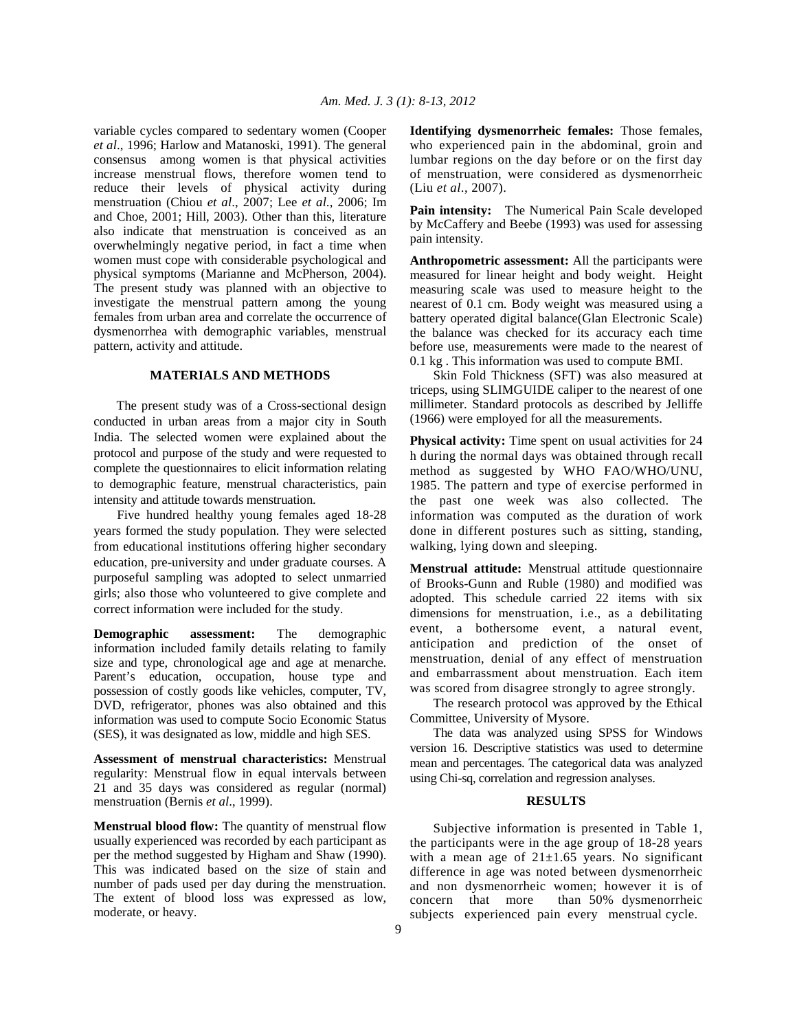variable cycles compared to sedentary women (Cooper *et al*., 1996; Harlow and Matanoski, 1991). The general consensus among women is that physical activities increase menstrual flows, therefore women tend to reduce their levels of physical activity during menstruation (Chiou *et al*., 2007; Lee *et al*., 2006; Im and Choe, 2001; Hill, 2003). Other than this, literature also indicate that menstruation is conceived as an overwhelmingly negative period, in fact a time when women must cope with considerable psychological and physical symptoms (Marianne and McPherson, 2004). The present study was planned with an objective to investigate the menstrual pattern among the young females from urban area and correlate the occurrence of dysmenorrhea with demographic variables, menstrual pattern, activity and attitude.

# **MATERIALS AND METHODS**

 The present study was of a Cross-sectional design conducted in urban areas from a major city in South India. The selected women were explained about the protocol and purpose of the study and were requested to complete the questionnaires to elicit information relating to demographic feature, menstrual characteristics, pain intensity and attitude towards menstruation.

 Five hundred healthy young females aged 18-28 years formed the study population. They were selected from educational institutions offering higher secondary education, pre-university and under graduate courses. A purposeful sampling was adopted to select unmarried girls; also those who volunteered to give complete and correct information were included for the study.

**Demographic assessment:** The demographic information included family details relating to family size and type, chronological age and age at menarche. Parent's education, occupation, house type and possession of costly goods like vehicles, computer, TV, DVD, refrigerator, phones was also obtained and this information was used to compute Socio Economic Status (SES), it was designated as low, middle and high SES.

**Assessment of menstrual characteristics:** Menstrual regularity: Menstrual flow in equal intervals between 21 and 35 days was considered as regular (normal) menstruation (Bernis *et al*., 1999).

**Menstrual blood flow:** The quantity of menstrual flow usually experienced was recorded by each participant as per the method suggested by Higham and Shaw (1990). This was indicated based on the size of stain and number of pads used per day during the menstruation. The extent of blood loss was expressed as low, moderate, or heavy.

**Identifying dysmenorrheic females:** Those females, who experienced pain in the abdominal, groin and lumbar regions on the day before or on the first day of menstruation, were considered as dysmenorrheic (Liu *et al*., 2007).

**Pain intensity:** The Numerical Pain Scale developed by McCaffery and Beebe (1993) was used for assessing pain intensity.

**Anthropometric assessment:** All the participants were measured for linear height and body weight. Height measuring scale was used to measure height to the nearest of 0.1 cm. Body weight was measured using a battery operated digital balance(Glan Electronic Scale) the balance was checked for its accuracy each time before use, measurements were made to the nearest of 0.1 kg . This information was used to compute BMI.

 Skin Fold Thickness (SFT) was also measured at triceps, using SLIMGUIDE caliper to the nearest of one millimeter. Standard protocols as described by Jelliffe (1966) were employed for all the measurements.

**Physical activity:** Time spent on usual activities for 24 h during the normal days was obtained through recall method as suggested by WHO FAO/WHO/UNU, 1985. The pattern and type of exercise performed in the past one week was also collected. The information was computed as the duration of work done in different postures such as sitting, standing, walking, lying down and sleeping.

**Menstrual attitude:** Menstrual attitude questionnaire of Brooks-Gunn and Ruble (1980) and modified was adopted. This schedule carried 22 items with six dimensions for menstruation, i.e., as a debilitating event, a bothersome event, a natural event, anticipation and prediction of the onset of menstruation, denial of any effect of menstruation and embarrassment about menstruation. Each item was scored from disagree strongly to agree strongly.

 The research protocol was approved by the Ethical Committee, University of Mysore.

 The data was analyzed using SPSS for Windows version 16. Descriptive statistics was used to determine mean and percentages. The categorical data was analyzed using Chi-sq, correlation and regression analyses.

### **RESULTS**

 Subjective information is presented in Table 1, the participants were in the age group of 18-28 years with a mean age of  $21 \pm 1.65$  years. No significant difference in age was noted between dysmenorrheic and non dysmenorrheic women; however it is of concern that more than 50% dysmenorrheic subjects experienced pain every menstrual cycle.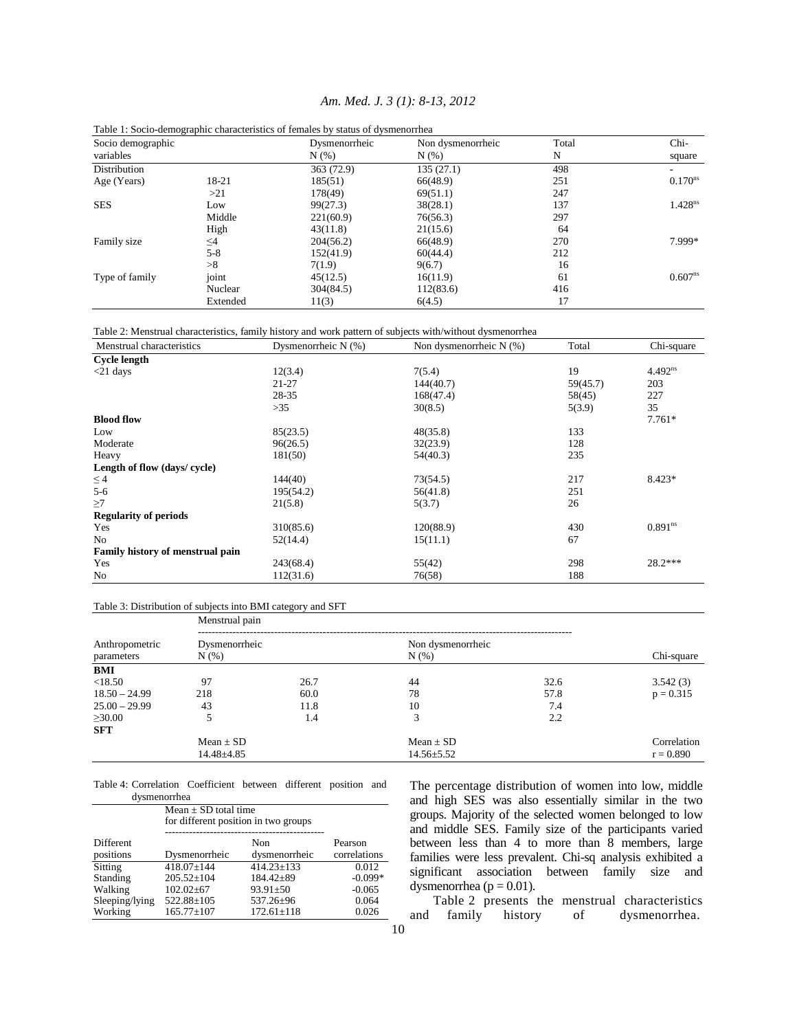|                   |          | Table 1: Socio-demographic characteristics of females by status of dysmenorrhea |                   |       |                     |
|-------------------|----------|---------------------------------------------------------------------------------|-------------------|-------|---------------------|
| Socio demographic |          | Dysmenorrheic                                                                   | Non dysmenorrheic | Total | Chi-                |
| variables         |          | N(% )                                                                           | N(% )             | N     | square              |
| Distribution      |          | 363 (72.9)                                                                      | 135(27.1)         | 498   |                     |
| Age (Years)       | 18-21    | 185(51)                                                                         | 66(48.9)          | 251   | $0.170^{ns}$        |
|                   | >21      | 178(49)                                                                         | 69(51.1)          | 247   |                     |
| <b>SES</b>        | Low      | 99(27.3)                                                                        | 38(28.1)          | 137   | 1.428 <sup>ns</sup> |
|                   | Middle   | 221(60.9)                                                                       | 76(56.3)          | 297   |                     |
|                   | High     | 43(11.8)                                                                        | 21(15.6)          | 64    |                     |
| Family size       | $\leq$ 4 | 204(56.2)                                                                       | 66(48.9)          | 270   | 7.999*              |
|                   | $5 - 8$  | 152(41.9)                                                                       | 60(44.4)          | 212   |                     |
|                   | >8       | 7(1.9)                                                                          | 9(6.7)            | 16    |                     |
| Type of family    | joint    | 45(12.5)                                                                        | 16(11.9)          | 61    | $0.607^{ns}$        |
|                   | Nuclear  | 304(84.5)                                                                       | 112(83.6)         | 416   |                     |
|                   | Extended | 11(3)                                                                           | 6(4.5)            | 17    |                     |
|                   |          |                                                                                 |                   |       |                     |

# *Am. Med. J. 3 (1): 8-13, 2012*

Table 2: Menstrual characteristics, family history and work pattern of subjects with/without dysmenorrhea

| Menstrual characteristics        | Dysmenorrheic N (%) | Non dysmenorrheic $N$ (%) | Total    | Chi-square   |
|----------------------------------|---------------------|---------------------------|----------|--------------|
| <b>Cycle length</b>              |                     |                           |          |              |
| $<$ 21 days                      | 12(3.4)             | 7(5.4)                    | 19       | $4.492^{ns}$ |
|                                  | $21 - 27$           | 144(40.7)                 | 59(45.7) | 203          |
|                                  | 28-35               | 168(47.4)                 | 58(45)   | 227          |
|                                  | >35                 | 30(8.5)                   | 5(3.9)   | 35           |
| <b>Blood flow</b>                |                     |                           |          | $7.761*$     |
| Low                              | 85(23.5)            | 48(35.8)                  | 133      |              |
| Moderate                         | 96(26.5)            | 32(23.9)                  | 128      |              |
| Heavy                            | 181(50)             | 54(40.3)                  | 235      |              |
| Length of flow (days/ cycle)     |                     |                           |          |              |
| $\leq$ 4                         | 144(40)             | 73(54.5)                  | 217      | $8.423*$     |
| $5 - 6$                          | 195(54.2)           | 56(41.8)                  | 251      |              |
| $\geq$ 7                         | 21(5.8)             | 5(3.7)                    | 26       |              |
| <b>Regularity of periods</b>     |                     |                           |          |              |
| Yes                              | 310(85.6)           | 120(88.9)                 | 430      | $0.891^{ns}$ |
| N <sub>0</sub>                   | 52(14.4)            | 15(11.1)                  | 67       |              |
| Family history of menstrual pain |                     |                           |          |              |
| Yes                              | 243(68.4)           | 55(42)                    | 298      | 28.2***      |
| N <sub>0</sub>                   | 112(31.6)           | 76(58)                    | 188      |              |

#### Table 3: Distribution of subjects into BMI category and SFT

| Anthropometric<br>parameters | Menstrual pain           |      |                              |      |             |  |  |
|------------------------------|--------------------------|------|------------------------------|------|-------------|--|--|
|                              | Dysmenorrheic<br>$N(\%)$ |      | Non dysmenorrheic<br>$N(\%)$ |      | Chi-square  |  |  |
| BMI                          |                          |      |                              |      |             |  |  |
| < 18.50                      | 97                       | 26.7 | 44                           | 32.6 | 3.542(3)    |  |  |
| $18.50 - 24.99$              | 218                      | 60.0 | 78                           | 57.8 | $p = 0.315$ |  |  |
| $25.00 - 29.99$              | 43                       | 11.8 | 10                           | 7.4  |             |  |  |
| $\geq 30.00$                 | 5                        | 1.4  | 3                            | 2.2  |             |  |  |
| <b>SFT</b>                   |                          |      |                              |      |             |  |  |
|                              | $Mean \pm SD$            |      | $Mean \pm SD$                |      | Correlation |  |  |
|                              | 14.48±4.85               |      | $14.56 \pm 5.52$             |      | $r = 0.890$ |  |  |

Table 4: Correlation Coefficient between different position and dysmenorrhea

|                        | Mean $\pm$ SD total time<br>for different position in two groups |                      |                         |
|------------------------|------------------------------------------------------------------|----------------------|-------------------------|
| Different<br>positions | Dysmenorrheic                                                    | Non<br>dysmenorrheic | Pearson<br>correlations |
| Sitting                | $418.07 \pm 144$                                                 | $414.23 \pm 133$     | 0.012                   |
| Standing               | $205.52 \pm 104$                                                 | $184.42 \pm 89$      | $-0.099*$               |
| Walking                | $102.02 \pm 67$                                                  | $93.91 \pm 50$       | $-0.065$                |
| Sleeping/lying         | 522.88±105                                                       | 537.26±96            | 0.064                   |
| Working                | $165.77 \pm 107$                                                 | $172.61 \pm 118$     | 0.026                   |

The percentage distribution of women into low, middle and high SES was also essentially similar in the two groups. Majority of the selected women belonged to low and middle SES. Family size of the participants varied between less than 4 to more than 8 members, large families were less prevalent. Chi-sq analysis exhibited a significant association between family size and dysmenorrhea ( $p = 0.01$ ).

 Table 2 presents the menstrual characteristics and family history of dysmenorrhea.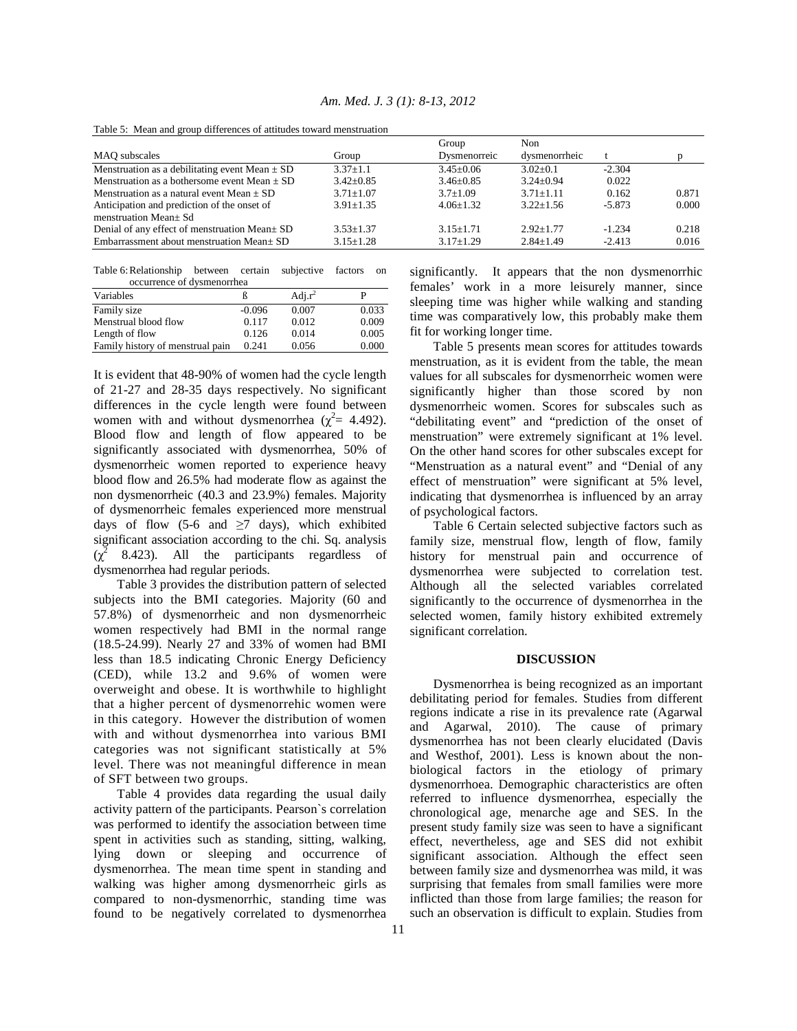|                                                    |                 | Group           | Non.            |          |       |
|----------------------------------------------------|-----------------|-----------------|-----------------|----------|-------|
| MAO subscales                                      | Group           | Dysmenorreic    | dysmenorrheic   |          |       |
| Menstruation as a debilitating event Mean $\pm$ SD | $3.37 + 1.1$    | $3.45 + 0.06$   | $3.02+0.1$      | $-2.304$ |       |
| Menstruation as a bothersome event Mean $+$ SD     | $3.42 + 0.85$   | $3.46 + 0.85$   | $3.24 \pm 0.94$ | 0.022    |       |
| Menstruation as a natural event Mean $\pm$ SD      | $3.71 + 1.07$   | $3.7 + 1.09$    | $3.71 + 1.11$   | 0.162    | 0.871 |
| Anticipation and prediction of the onset of        | $3.91 + 1.35$   | $4.06 + 1.32$   | $3.22 + 1.56$   | $-5.873$ | 0.000 |
| menstruation Mean+ Sd                              |                 |                 |                 |          |       |
| Denial of any effect of menstruation Mean ± SD     | $3.53 + 1.37$   | $3.15 + 1.71$   | $2.92 + 1.77$   | $-1.234$ | 0.218 |
| Embarrassment about menstruation Mean $\pm$ SD     | $3.15 \pm 1.28$ | $3.17 \pm 1.29$ | $2.84 \pm 1.49$ | $-2.413$ | 0.016 |

*Am. Med. J. 3 (1): 8-13, 2012* 

Table 5: Mean and group differences of attitudes toward menstruation

Table 6: Relationship between certain subjective factors on occurrence of dysmenorrhea

| Variables                        |          | Adj. $r^2$ |       |
|----------------------------------|----------|------------|-------|
| Family size                      | $-0.096$ | 0.007      | 0.033 |
| Menstrual blood flow             | 0.117    | 0.012      | 0.009 |
| Length of flow                   | 0.126    | 0.014      | 0.005 |
| Family history of menstrual pain | 0.241    | 0.056      | 0.000 |

It is evident that 48-90% of women had the cycle length of 21-27 and 28-35 days respectively. No significant differences in the cycle length were found between women with and without dysmenorrhea ( $\chi^2$  = 4.492). Blood flow and length of flow appeared to be significantly associated with dysmenorrhea, 50% of dysmenorrheic women reported to experience heavy blood flow and 26.5% had moderate flow as against the non dysmenorrheic (40.3 and 23.9%) females. Majority of dysmenorrheic females experienced more menstrual days of flow (5-6 and  $\geq$ 7 days), which exhibited significant association according to the chi. Sq. analysis  $(\chi^2$  8.423). All the participants regardless of dysmenorrhea had regular periods.

 Table 3 provides the distribution pattern of selected subjects into the BMI categories. Majority (60 and 57.8%) of dysmenorrheic and non dysmenorrheic women respectively had BMI in the normal range (18.5-24.99). Nearly 27 and 33% of women had BMI less than 18.5 indicating Chronic Energy Deficiency (CED), while 13.2 and 9.6% of women were overweight and obese. It is worthwhile to highlight that a higher percent of dysmenorrehic women were in this category. However the distribution of women with and without dysmenorrhea into various BMI categories was not significant statistically at 5% level. There was not meaningful difference in mean of SFT between two groups.

 Table 4 provides data regarding the usual daily activity pattern of the participants. Pearson`s correlation was performed to identify the association between time spent in activities such as standing, sitting, walking, lying down or sleeping and occurrence of dysmenorrhea. The mean time spent in standing and walking was higher among dysmenorrheic girls as compared to non-dysmenorrhic, standing time was found to be negatively correlated to dysmenorrhea significantly. It appears that the non dysmenorrhic females' work in a more leisurely manner, since sleeping time was higher while walking and standing time was comparatively low, this probably make them fit for working longer time.

 Table 5 presents mean scores for attitudes towards menstruation, as it is evident from the table, the mean values for all subscales for dysmenorrheic women were significantly higher than those scored by non dysmenorrheic women. Scores for subscales such as "debilitating event" and "prediction of the onset of menstruation" were extremely significant at 1% level. On the other hand scores for other subscales except for "Menstruation as a natural event" and "Denial of any effect of menstruation" were significant at 5% level, indicating that dysmenorrhea is influenced by an array of psychological factors.

 Table 6 Certain selected subjective factors such as family size, menstrual flow, length of flow, family history for menstrual pain and occurrence of dysmenorrhea were subjected to correlation test. Although all the selected variables correlated significantly to the occurrence of dysmenorrhea in the selected women, family history exhibited extremely significant correlation.

#### **DISCUSSION**

 Dysmenorrhea is being recognized as an important debilitating period for females. Studies from different regions indicate a rise in its prevalence rate (Agarwal and Agarwal, 2010). The cause of primary dysmenorrhea has not been clearly elucidated (Davis and Westhof, 2001). Less is known about the nonbiological factors in the etiology of primary dysmenorrhoea. Demographic characteristics are often referred to influence dysmenorrhea, especially the chronological age, menarche age and SES. In the present study family size was seen to have a significant effect, nevertheless, age and SES did not exhibit significant association. Although the effect seen between family size and dysmenorrhea was mild, it was surprising that females from small families were more inflicted than those from large families; the reason for such an observation is difficult to explain. Studies from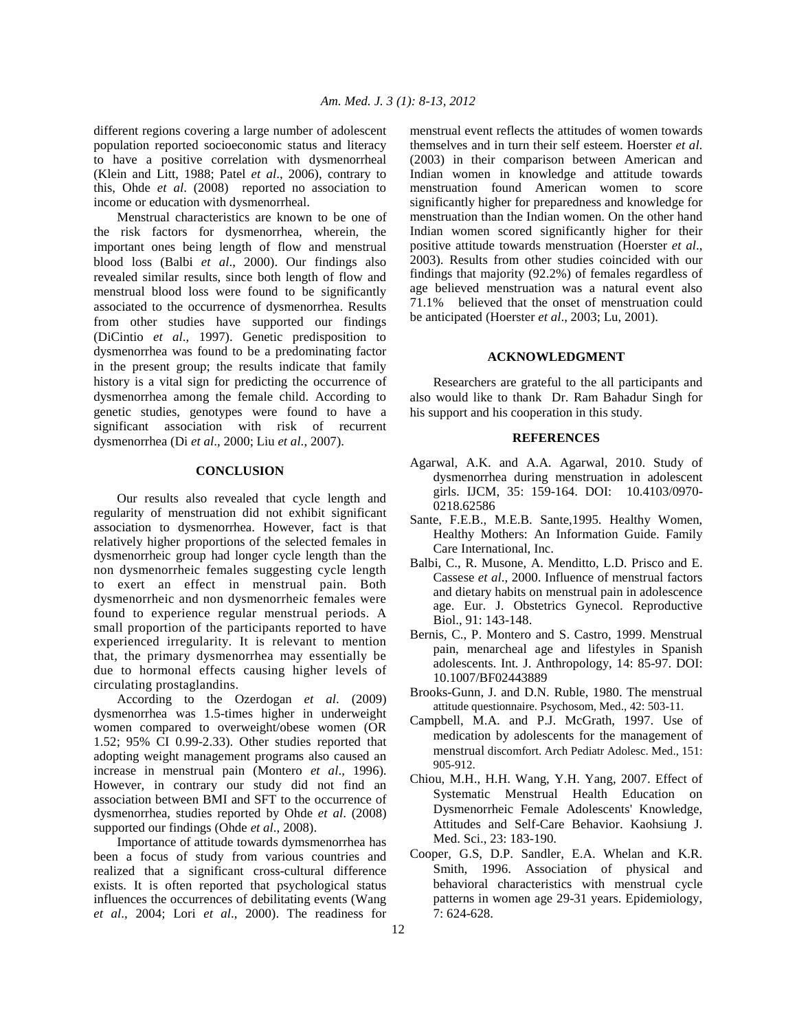different regions covering a large number of adolescent population reported socioeconomic status and literacy to have a positive correlation with dysmenorrheal (Klein and Litt, 1988; Patel *et al*., 2006), contrary to this, Ohde *et al*. (2008) reported no association to income or education with dysmenorrheal.

 Menstrual characteristics are known to be one of the risk factors for dysmenorrhea, wherein, the important ones being length of flow and menstrual blood loss (Balbi *et al*., 2000). Our findings also revealed similar results, since both length of flow and menstrual blood loss were found to be significantly associated to the occurrence of dysmenorrhea. Results from other studies have supported our findings (DiCintio *et al*., 1997). Genetic predisposition to dysmenorrhea was found to be a predominating factor in the present group; the results indicate that family history is a vital sign for predicting the occurrence of dysmenorrhea among the female child. According to genetic studies, genotypes were found to have a significant association with risk of recurrent dysmenorrhea (Di *et al*., 2000; Liu *et al*., 2007).

# **CONCLUSION**

 Our results also revealed that cycle length and regularity of menstruation did not exhibit significant association to dysmenorrhea. However, fact is that relatively higher proportions of the selected females in dysmenorrheic group had longer cycle length than the non dysmenorrheic females suggesting cycle length to exert an effect in menstrual pain. Both dysmenorrheic and non dysmenorrheic females were found to experience regular menstrual periods. A small proportion of the participants reported to have experienced irregularity. It is relevant to mention that, the primary dysmenorrhea may essentially be due to hormonal effects causing higher levels of circulating prostaglandins.

 According to the Ozerdogan *et al*. (2009) dysmenorrhea was 1.5-times higher in underweight women compared to overweight/obese women (OR 1.52; 95% CI 0.99-2.33). Other studies reported that adopting weight management programs also caused an increase in menstrual pain (Montero *et al*., 1996). However, in contrary our study did not find an association between BMI and SFT to the occurrence of dysmenorrhea, studies reported by Ohde *et al*. (2008) supported our findings (Ohde *et al*., 2008).

 Importance of attitude towards dymsmenorrhea has been a focus of study from various countries and realized that a significant cross-cultural difference exists. It is often reported that psychological status influences the occurrences of debilitating events (Wang *et al*., 2004; Lori *et al*., 2000). The readiness for

menstrual event reflects the attitudes of women towards themselves and in turn their self esteem. Hoerster *et al*. (2003) in their comparison between American and Indian women in knowledge and attitude towards menstruation found American women to score significantly higher for preparedness and knowledge for menstruation than the Indian women. On the other hand Indian women scored significantly higher for their positive attitude towards menstruation (Hoerster *et al*., 2003). Results from other studies coincided with our findings that majority (92.2%) of females regardless of age believed menstruation was a natural event also 71.1% believed that the onset of menstruation could be anticipated (Hoerster *et al*., 2003; Lu, 2001).

### **ACKNOWLEDGMENT**

 Researchers are grateful to the all participants and also would like to thank Dr. Ram Bahadur Singh for his support and his cooperation in this study.

### **REFERENCES**

- Agarwal, A.K. and A.A. Agarwal, 2010. Study of dysmenorrhea during menstruation in adolescent girls. IJCM, 35: 159-164. DOI: 10.4103/0970- 0218.62586
- Sante, F.E.B., M.E.B. Sante,1995. Healthy Women, Healthy Mothers: An Information Guide. Family Care International, Inc.
- Balbi, C., R. Musone, A. Menditto, L.D. Prisco and E. Cassese *et al*., 2000. Influence of menstrual factors and dietary habits on menstrual pain in adolescence age. Eur. J. Obstetrics Gynecol. Reproductive Biol., 91: 143-148.
- Bernis, C., P. Montero and S. Castro, 1999. Menstrual pain, menarcheal age and lifestyles in Spanish adolescents. Int. J. Anthropology, 14: 85-97. DOI: 10.1007/BF02443889
- Brooks-Gunn, J. and D.N. Ruble, 1980. The menstrual attitude questionnaire. Psychosom, Med., 42: 503-11.
- Campbell, M.A. and P.J. McGrath, 1997. Use of medication by adolescents for the management of menstrual discomfort. Arch Pediatr Adolesc. Med., 151: 905-912.
- Chiou, M.H., H.H. Wang, Y.H. Yang, 2007. Effect of Systematic Menstrual Health Education on Dysmenorrheic Female Adolescents' Knowledge, Attitudes and Self-Care Behavior. Kaohsiung J. Med. Sci., 23: 183-190.
- Cooper, G.S, D.P. Sandler, E.A. Whelan and K.R. Smith, 1996. Association of physical and behavioral characteristics with menstrual cycle patterns in women age 29-31 years. Epidemiology, 7: 624-628.